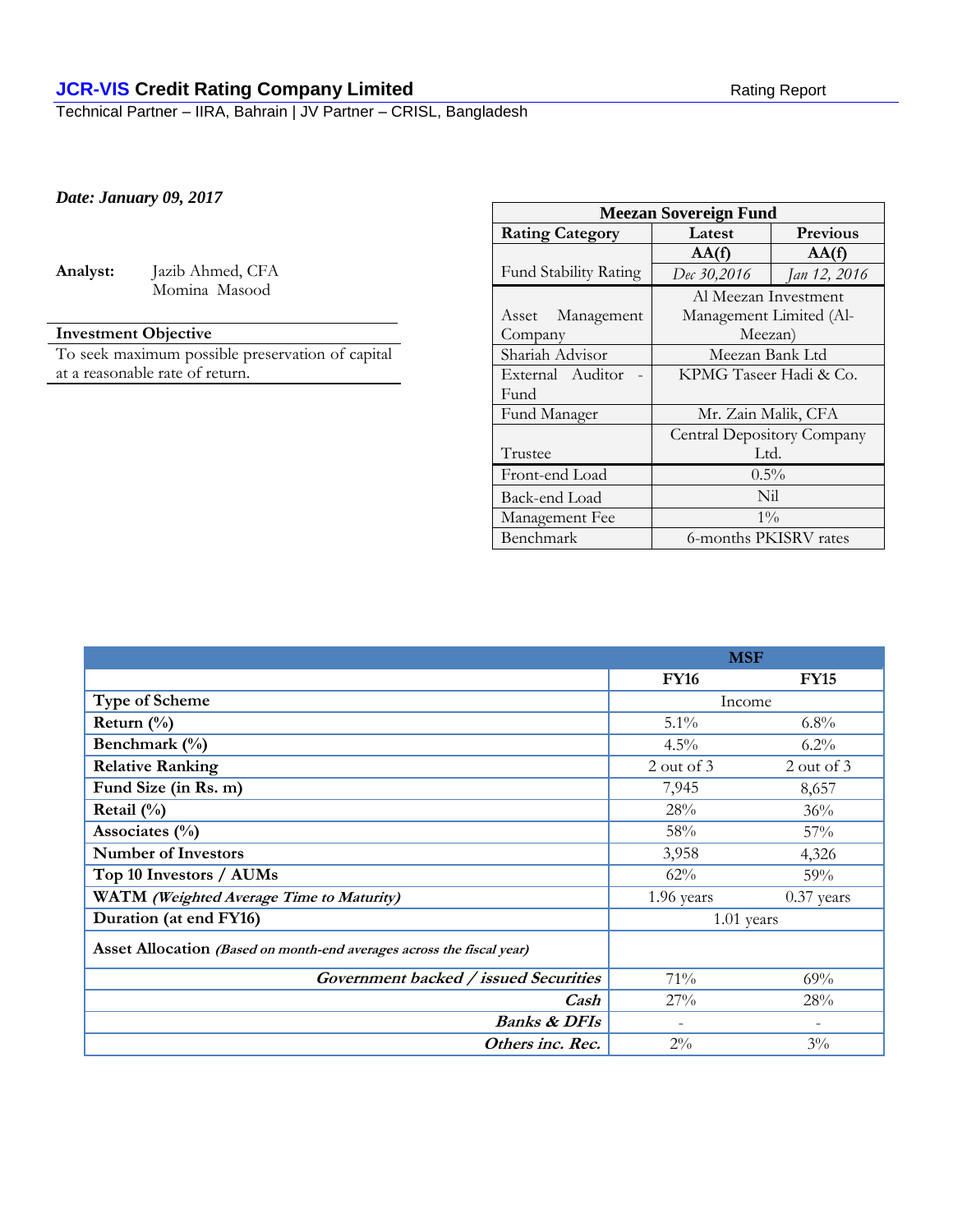# **JCR-VIS Credit Rating Company Limited** Rating Report Rating Report

Technical Partner – IIRA, Bahrain | JV Partner – CRISL, Bangladesh

## *Date: January 09, 2017*

| maiv | × |
|------|---|
|      |   |

**Analyst:** Jazib Ahmed, CFA Momina Masood

# **Investment Objective**

To seek maximum possible preservation of capital at a reasonable rate of return.

| <b>Meezan Sovereign Fund</b> |                            |              |  |  |  |
|------------------------------|----------------------------|--------------|--|--|--|
| <b>Rating Category</b>       | <b>Previous</b><br>Latest  |              |  |  |  |
|                              | AA(f)                      | AA(f)        |  |  |  |
| <b>Fund Stability Rating</b> | Dec 30,2016                | Jan 12, 2016 |  |  |  |
|                              | Al Meezan Investment       |              |  |  |  |
| Asset Management             | Management Limited (Al-    |              |  |  |  |
| Company                      | Meezan)                    |              |  |  |  |
| Shariah Advisor              | Meezan Bank Ltd            |              |  |  |  |
| External Auditor             | KPMG Taseer Hadi & Co.     |              |  |  |  |
| Fund                         |                            |              |  |  |  |
| Fund Manager                 | Mr. Zain Malik, CFA        |              |  |  |  |
|                              | Central Depository Company |              |  |  |  |
| Trustee                      | Ltd.                       |              |  |  |  |
| Front-end Load               | $0.5\%$                    |              |  |  |  |
| Back-end Load                | Nil                        |              |  |  |  |
| Management Fee               | $1\%$                      |              |  |  |  |
| Benchmark                    | 6-months PKISRV rates      |              |  |  |  |

|                                                                       | <b>MSF</b>  |              |
|-----------------------------------------------------------------------|-------------|--------------|
|                                                                       | <b>FY16</b> | <b>FY15</b>  |
| Type of Scheme                                                        | Income      |              |
| Return $(\%$                                                          | $5.1\%$     | $6.8\%$      |
| Benchmark (%)                                                         | 4.5%        | $6.2\%$      |
| <b>Relative Ranking</b>                                               | 2 out of 3  | 2 out of 3   |
| Fund Size (in Rs. m)                                                  | 7,945       | 8,657        |
| Retail $(\%)$                                                         | 28%         | 36%          |
| Associates $(\% )$                                                    | 58%         | 57%          |
| <b>Number of Investors</b>                                            | 3,958       | 4,326        |
| Top 10 Investors / AUMs                                               | 62%         | 59%          |
| WATM (Weighted Average Time to Maturity)                              | 1.96 years  | $0.37$ years |
| Duration (at end FY16)                                                |             | $1.01$ years |
| Asset Allocation (Based on month-end averages across the fiscal year) |             |              |
| Government backed / issued Securities                                 | 71%         | 69%          |
| Cash                                                                  | 27%         | 28%          |
| <b>Banks &amp; DFIs</b>                                               |             |              |
| Others inc. Rec.                                                      | $2\%$       | $3\%$        |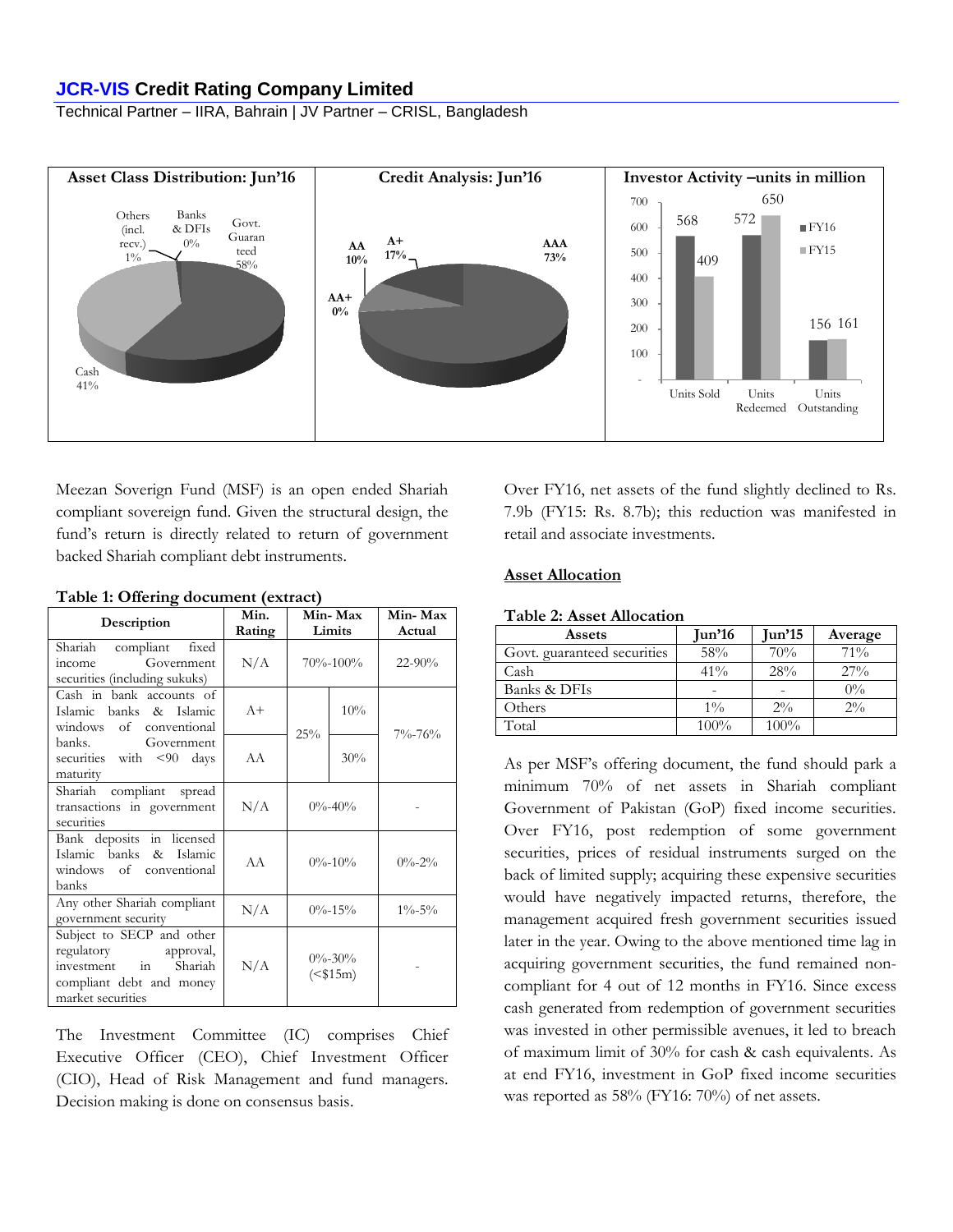## **JCR-VIS Credit Rating Company Limited**

Technical Partner – IIRA, Bahrain | JV Partner – CRISL, Bangladesh



Meezan Soverign Fund (MSF) is an open ended Shariah compliant sovereign fund. Given the structural design, the fund's return is directly related to return of government backed Shariah compliant debt instruments.

| Description                                                                                                                           | Min.<br>Rating | Min-Max<br>Limits        |     | Min-Max<br>Actual |
|---------------------------------------------------------------------------------------------------------------------------------------|----------------|--------------------------|-----|-------------------|
| Shariah compliant fixed<br>Government<br>income<br>securities (including sukuks)                                                      | N/A            | $70\% - 100\%$           |     | $22 - 90\%$       |
| Cash in bank accounts of<br>banks & Islamic<br>Islamic<br>of conventional<br>windows                                                  | $A+$           | 25%                      | 10% | $7\% - 76\%$      |
| banks.<br>Government<br>securities with <90 days<br>maturity                                                                          | AA             |                          | 30% |                   |
| Shariah<br>compliant spread<br>transactions in government<br>securities                                                               | N/A            | $0\% - 40\%$             |     |                   |
| Bank deposits in licensed<br>Islamic banks & Islamic<br>windows of conventional<br>banks                                              | AA             | $0\% - 10\%$             |     | $0\% - 2\%$       |
| Any other Shariah compliant<br>government security                                                                                    | N/A            | $0\% - 15\%$             |     | $1\% - 5\%$       |
| Subject to SECP and other<br>regulatory approval,<br>investment in<br><b>Shariah</b><br>compliant debt and money<br>market securities | N/A            | $0\% - 30\%$<br>$($15m)$ |     |                   |

**Table 1: Offering document (extract)**

The Investment Committee (IC) comprises Chief Executive Officer (CEO), Chief Investment Officer (CIO), Head of Risk Management and fund managers. Decision making is done on consensus basis.

Over FY16, net assets of the fund slightly declined to Rs. 7.9b (FY15: Rs. 8.7b); this reduction was manifested in retail and associate investments.

#### **Asset Allocation**

#### **Table 2: Asset Allocation**

| Assets                      | $\text{Jun'}16$ | $\text{Jun'}15$ | Average |
|-----------------------------|-----------------|-----------------|---------|
| Govt. guaranteed securities | 58%             | 70%             | 71%     |
| Cash                        | $41\%$          | 28%             | 27%     |
| Banks & DFIs                | ۳               |                 | $0\%$   |
| Others                      | $1\%$           | $2\%$           | $2\%$   |
| Total                       | $100\%$         | 100%            |         |

As per MSF's offering document, the fund should park a minimum 70% of net assets in Shariah compliant Government of Pakistan (GoP) fixed income securities. Over FY16, post redemption of some government securities, prices of residual instruments surged on the back of limited supply; acquiring these expensive securities would have negatively impacted returns, therefore, the management acquired fresh government securities issued later in the year. Owing to the above mentioned time lag in acquiring government securities, the fund remained noncompliant for 4 out of 12 months in FY16. Since excess cash generated from redemption of government securities was invested in other permissible avenues, it led to breach of maximum limit of 30% for cash & cash equivalents. As at end FY16, investment in GoP fixed income securities was reported as 58% (FY16: 70%) of net assets.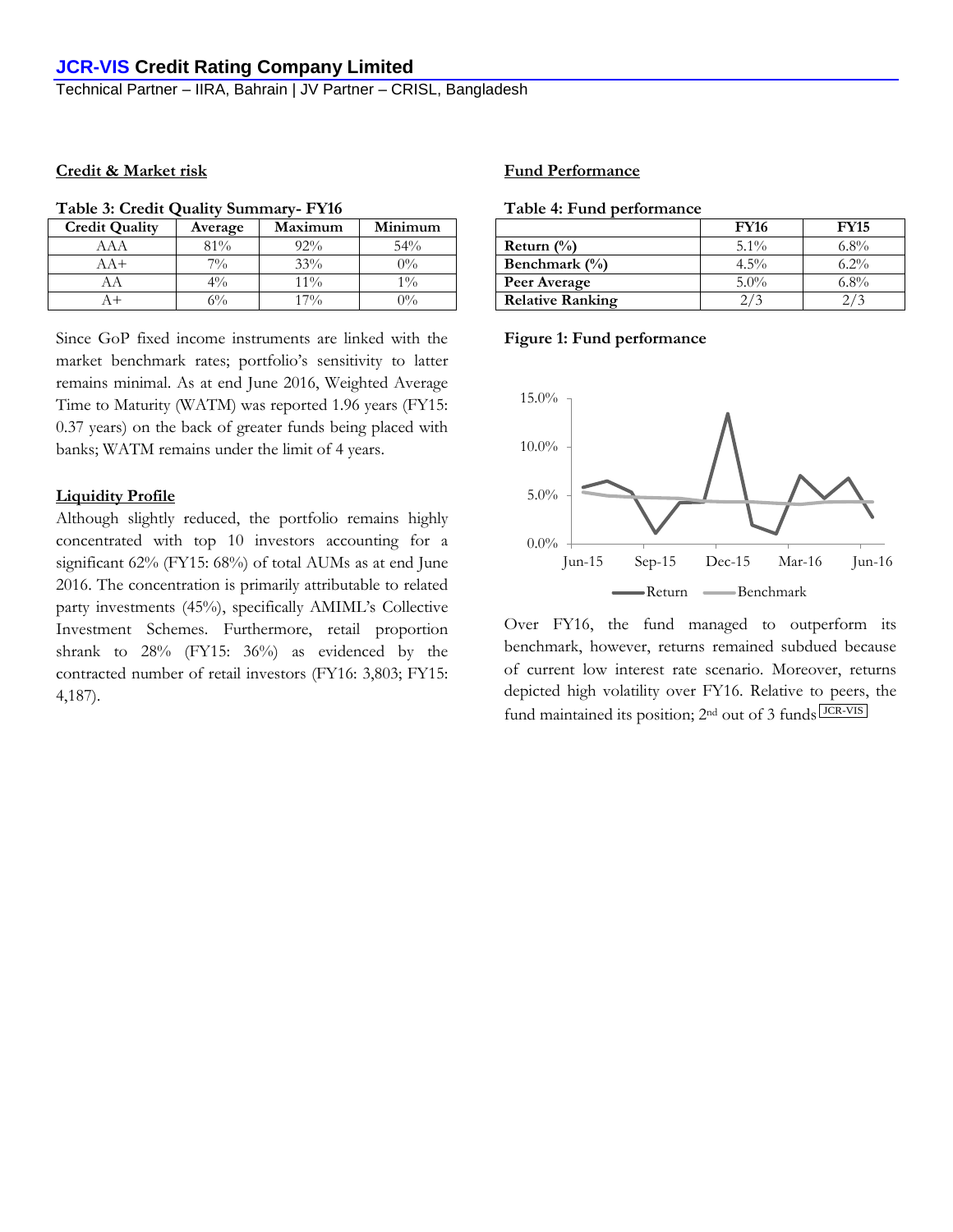Technical Partner – IIRA, Bahrain | JV Partner – CRISL, Bangladesh

## **Credit & Market risk**

| <b>Credit Quality</b> | Average | Maximum | Minimum |
|-----------------------|---------|---------|---------|
| ΑAΑ                   | $81\%$  | $92\%$  | 54%     |
| $AA+$                 | $7\%$   | 33%     | $0\%$   |
| AΑ                    | $4\%$   | $11\%$  | $1\%$   |
|                       | 6%      | $17\%$  | $0\%$   |

Since GoP fixed income instruments are linked with the market benchmark rates; portfolio's sensitivity to latter remains minimal. As at end June 2016, Weighted Average Time to Maturity (WATM) was reported 1.96 years (FY15: 0.37 years) on the back of greater funds being placed with banks; WATM remains under the limit of 4 years.

#### **Liquidity Profile**

Although slightly reduced, the portfolio remains highly concentrated with top 10 investors accounting for a significant 62% (FY15: 68%) of total AUMs as at end June 2016. The concentration is primarily attributable to related party investments (45%), specifically AMIML's Collective Investment Schemes. Furthermore, retail proportion shrank to 28% (FY15: 36%) as evidenced by the contracted number of retail investors (FY16: 3,803; FY15: 4,187).

## **Fund Performance**

| Table 4: Fund performance |  |
|---------------------------|--|
|---------------------------|--|

|                         | <b>FY16</b> | <b>FY15</b> |
|-------------------------|-------------|-------------|
| Return $(\% )$          | $5.1\%$     | $6.8\%$     |
| Benchmark $(\%)$        | $4.5\%$     | $6.2\%$     |
| Peer Average            | $5.0\%$     | $6.8\%$     |
| <b>Relative Ranking</b> |             |             |

#### **Figure 1: Fund performance**



Over FY16, the fund managed to outperform its benchmark, however, returns remained subdued because of current low interest rate scenario. Moreover, returns depicted high volatility over FY16. Relative to peers, the fund maintained its position; 2<sup>nd</sup> out of 3 funds LICR-VIS